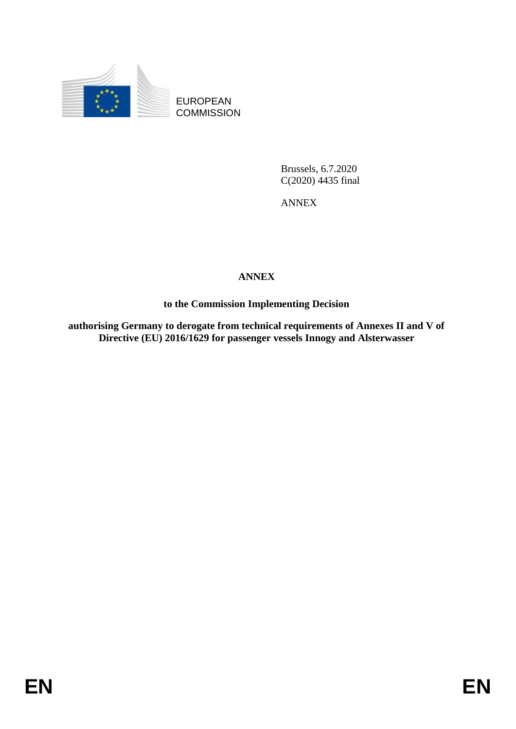

EUROPEAN **COMMISSION** 

> Brussels, 6.7.2020 C(2020) 4435 final

ANNEX

## **ANNEX**

**to the Commission Implementing Decision**

**authorising Germany to derogate from technical requirements of Annexes II and V of Directive (EU) 2016/1629 for passenger vessels Innogy and Alsterwasser**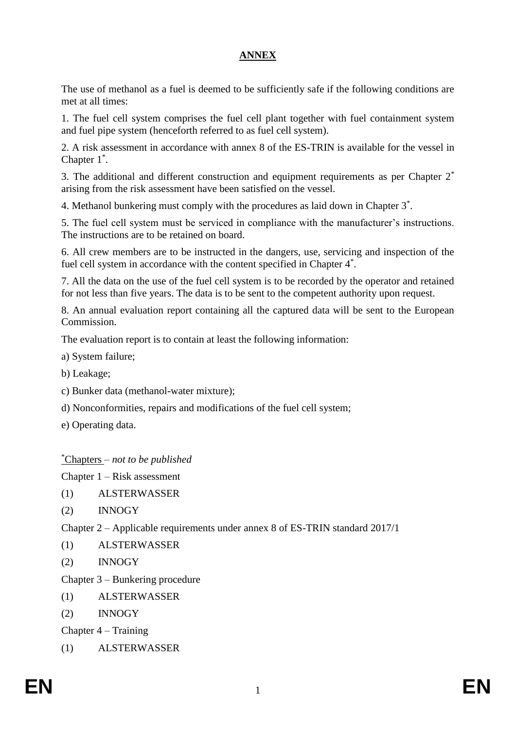## **ANNEX**

The use of methanol as a fuel is deemed to be sufficiently safe if the following conditions are met at all times:

1. The fuel cell system comprises the fuel cell plant together with fuel containment system and fuel pipe system (henceforth referred to as fuel cell system).

2. A risk assessment in accordance with annex 8 of the ES-TRIN is available for the vessel in Chapter 1\* .

3. The additional and different construction and equipment requirements as per Chapter  $2^*$ arising from the risk assessment have been satisfied on the vessel.

4. Methanol bunkering must comply with the procedures as laid down in Chapter 3\* .

5. The fuel cell system must be serviced in compliance with the manufacturer's instructions. The instructions are to be retained on board.

6. All crew members are to be instructed in the dangers, use, servicing and inspection of the fuel cell system in accordance with the content specified in Chapter 4<sup>\*</sup>.

7. All the data on the use of the fuel cell system is to be recorded by the operator and retained for not less than five years. The data is to be sent to the competent authority upon request.

8. An annual evaluation report containing all the captured data will be sent to the European Commission.

The evaluation report is to contain at least the following information:

a) System failure;

b) Leakage;

- c) Bunker data (methanol-water mixture);
- d) Nonconformities, repairs and modifications of the fuel cell system;
- e) Operating data.

## \*Chapters *– not to be published*

Chapter 1 – Risk assessment

- (1) ALSTERWASSER
- (2) INNOGY

Chapter 2 – Applicable requirements under annex 8 of ES-TRIN standard 2017/1

- (1) ALSTERWASSER
- (2) INNOGY

Chapter 3 – Bunkering procedure

- (1) ALSTERWASSER
- (2) INNOGY

Chapter 4 – Training

(1) ALSTERWASSER